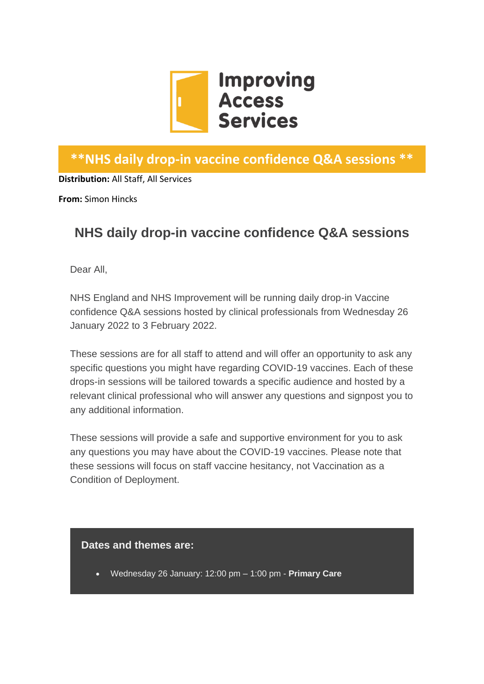

## **\*\*NHS daily drop-in vaccine confidence Q&A sessions \*\***

**Distribution:** All Staff, All Services

**From:** Simon Hincks

## **NHS daily drop-in vaccine confidence Q&A sessions**

Dear All,

NHS England and NHS Improvement will be running daily drop-in Vaccine confidence Q&A sessions hosted by clinical professionals from Wednesday 26 January 2022 to 3 February 2022.

These sessions are for all staff to attend and will offer an opportunity to ask any specific questions you might have regarding COVID-19 vaccines. Each of these drops-in sessions will be tailored towards a specific audience and hosted by a relevant clinical professional who will answer any questions and signpost you to any additional information.

These sessions will provide a safe and supportive environment for you to ask any questions you may have about the COVID-19 vaccines. Please note that these sessions will focus on staff vaccine hesitancy, not Vaccination as a Condition of Deployment.

## **Dates and themes are:**

• Wednesday 26 January: 12:00 pm – 1:00 pm - **Primary Care**